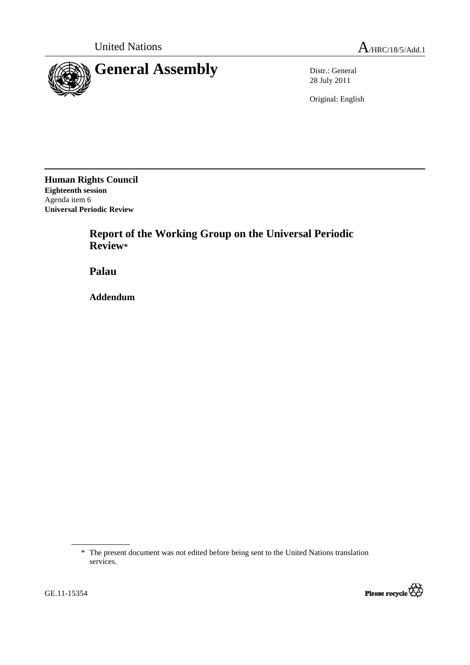

28 July 2011

Original: English

**Human Rights Council Eighteenth session**  Agenda item 6 **Universal Periodic Review** 

> **Report of the Working Group on the Universal Periodic Review\***

 **Palau** 

 **Addendum** 



<sup>\*</sup> The present document was not edited before being sent to the United Nations translation services.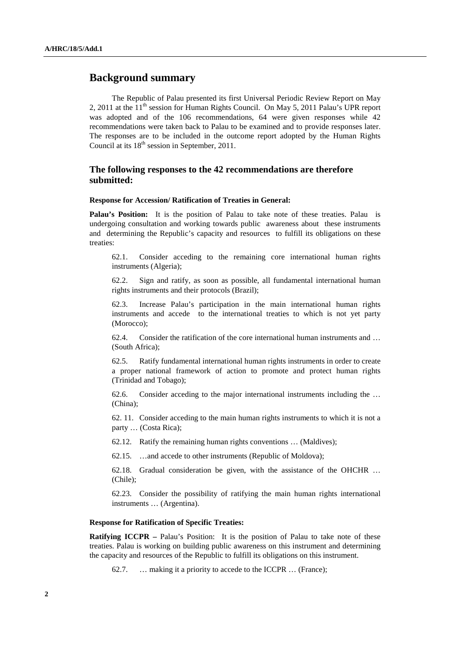## **Background summary**

The Republic of Palau presented its first Universal Periodic Review Report on May 2, 2011 at the  $11<sup>th</sup>$  session for Human Rights Council. On May 5, 2011 Palau's UPR report was adopted and of the 106 recommendations, 64 were given responses while 42 recommendations were taken back to Palau to be examined and to provide responses later. The responses are to be included in the outcome report adopted by the Human Rights Council at its  $18<sup>th</sup>$  session in September, 2011.

### **The following responses to the 42 recommendations are therefore submitted:**

#### **Response for Accession/ Ratification of Treaties in General:**

**Palau's Position:** It is the position of Palau to take note of these treaties. Palau is undergoing consultation and working towards public awareness about these instruments and determining the Republic's capacity and resources to fulfill its obligations on these treaties:

62.1. Consider acceding to the remaining core international human rights instruments (Algeria);

62.2. Sign and ratify, as soon as possible, all fundamental international human rights instruments and their protocols (Brazil);

62.3. Increase Palau's participation in the main international human rights instruments and accede to the international treaties to which is not yet party (Morocco);

62.4. Consider the ratification of the core international human instruments and … (South Africa);

62.5. Ratify fundamental international human rights instruments in order to create a proper national framework of action to promote and protect human rights (Trinidad and Tobago);

62.6. Consider acceding to the major international instruments including the … (China);

62. 11. Consider acceding to the main human rights instruments to which it is not a party … (Costa Rica);

62.12. Ratify the remaining human rights conventions … (Maldives);

62.15. …and accede to other instruments (Republic of Moldova);

62.18. Gradual consideration be given, with the assistance of the OHCHR … (Chile);

62.23. Consider the possibility of ratifying the main human rights international instruments … (Argentina).

#### **Response for Ratification of Specific Treaties:**

**Ratifying ICCPR** – Palau's Position: It is the position of Palau to take note of these treaties. Palau is working on building public awareness on this instrument and determining the capacity and resources of the Republic to fulfill its obligations on this instrument.

62.7. … making it a priority to accede to the ICCPR … (France);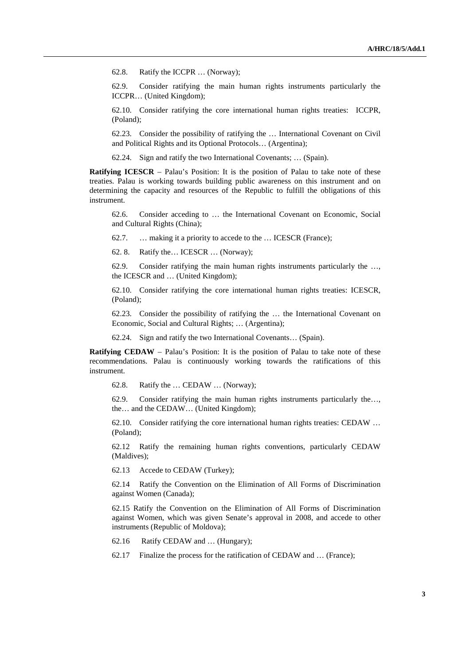62.8. Ratify the ICCPR … (Norway);

62.9. Consider ratifying the main human rights instruments particularly the ICCPR… (United Kingdom);

62.10. Consider ratifying the core international human rights treaties: ICCPR, (Poland);

62.23. Consider the possibility of ratifying the … International Covenant on Civil and Political Rights and its Optional Protocols… (Argentina);

62.24. Sign and ratify the two International Covenants; … (Spain).

**Ratifying ICESCR** – Palau's Position: It is the position of Palau to take note of these treaties. Palau is working towards building public awareness on this instrument and on determining the capacity and resources of the Republic to fulfill the obligations of this instrument.

62.6. Consider acceding to … the International Covenant on Economic, Social and Cultural Rights (China);

62.7. … making it a priority to accede to the … ICESCR (France);

62. 8. Ratify the… ICESCR … (Norway);

62.9. Consider ratifying the main human rights instruments particularly the …, the ICESCR and … (United Kingdom);

62.10. Consider ratifying the core international human rights treaties: ICESCR, (Poland);

62.23. Consider the possibility of ratifying the … the International Covenant on Economic, Social and Cultural Rights; … (Argentina);

62.24. Sign and ratify the two International Covenants… (Spain).

**Ratifying CEDAW** – Palau's Position: It is the position of Palau to take note of these recommendations. Palau is continuously working towards the ratifications of this instrument.

62.8. Ratify the … CEDAW … (Norway);

62.9. Consider ratifying the main human rights instruments particularly the…, the… and the CEDAW… (United Kingdom);

62.10. Consider ratifying the core international human rights treaties: CEDAW … (Poland);

62.12 Ratify the remaining human rights conventions, particularly CEDAW (Maldives);

62.13 Accede to CEDAW (Turkey);

62.14 Ratify the Convention on the Elimination of All Forms of Discrimination against Women (Canada);

62.15 Ratify the Convention on the Elimination of All Forms of Discrimination against Women, which was given Senate's approval in 2008, and accede to other instruments (Republic of Moldova);

62.16 Ratify CEDAW and … (Hungary);

62.17 Finalize the process for the ratification of CEDAW and … (France);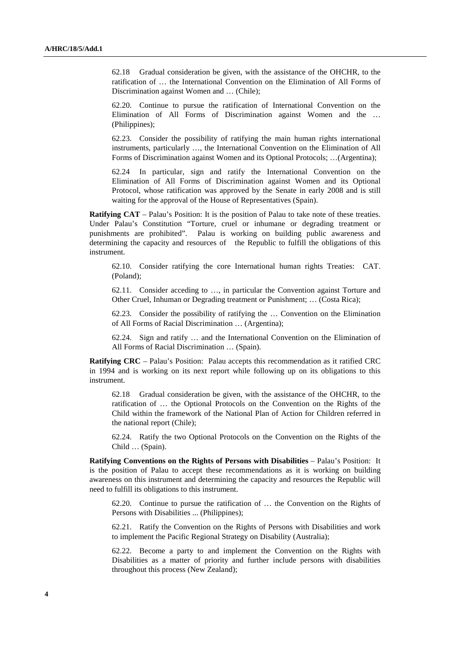62.18 Gradual consideration be given, with the assistance of the OHCHR, to the ratification of … the International Convention on the Elimination of All Forms of Discrimination against Women and ... (Chile);

62.20. Continue to pursue the ratification of International Convention on the Elimination of All Forms of Discrimination against Women and the … (Philippines);

62.23. Consider the possibility of ratifying the main human rights international instruments, particularly …, the International Convention on the Elimination of All Forms of Discrimination against Women and its Optional Protocols; …(Argentina);

62.24 In particular, sign and ratify the International Convention on the Elimination of All Forms of Discrimination against Women and its Optional Protocol, whose ratification was approved by the Senate in early 2008 and is still waiting for the approval of the House of Representatives (Spain).

**Ratifying CAT** – Palau's Position: It is the position of Palau to take note of these treaties. Under Palau's Constitution "Torture, cruel or inhumane or degrading treatment or punishments are prohibited". Palau is working on building public awareness and determining the capacity and resources of the Republic to fulfill the obligations of this instrument.

62.10. Consider ratifying the core International human rights Treaties: CAT. (Poland);

62.11. Consider acceding to …, in particular the Convention against Torture and Other Cruel, Inhuman or Degrading treatment or Punishment; … (Costa Rica);

62.23. Consider the possibility of ratifying the … Convention on the Elimination of All Forms of Racial Discrimination … (Argentina);

62.24. Sign and ratify … and the International Convention on the Elimination of All Forms of Racial Discrimination … (Spain).

**Ratifying CRC** – Palau's Position: Palau accepts this recommendation as it ratified CRC in 1994 and is working on its next report while following up on its obligations to this instrument.

62.18 Gradual consideration be given, with the assistance of the OHCHR, to the ratification of … the Optional Protocols on the Convention on the Rights of the Child within the framework of the National Plan of Action for Children referred in the national report (Chile);

62.24. Ratify the two Optional Protocols on the Convention on the Rights of the Child … (Spain).

**Ratifying Conventions on the Rights of Persons with Disabilities** – Palau's Position: It is the position of Palau to accept these recommendations as it is working on building awareness on this instrument and determining the capacity and resources the Republic will need to fulfill its obligations to this instrument.

62.20. Continue to pursue the ratification of … the Convention on the Rights of Persons with Disabilities ... (Philippines);

62.21. Ratify the Convention on the Rights of Persons with Disabilities and work to implement the Pacific Regional Strategy on Disability (Australia);

62.22. Become a party to and implement the Convention on the Rights with Disabilities as a matter of priority and further include persons with disabilities throughout this process (New Zealand);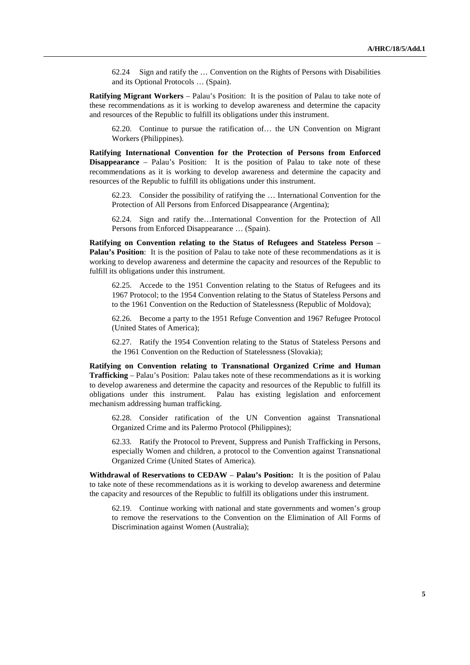62.24 Sign and ratify the … Convention on the Rights of Persons with Disabilities and its Optional Protocols … (Spain).

**Ratifying Migrant Workers** – Palau's Position: It is the position of Palau to take note of these recommendations as it is working to develop awareness and determine the capacity and resources of the Republic to fulfill its obligations under this instrument.

62.20. Continue to pursue the ratification of… the UN Convention on Migrant Workers (Philippines).

**Ratifying International Convention for the Protection of Persons from Enforced Disappearance** – Palau's Position: It is the position of Palau to take note of these recommendations as it is working to develop awareness and determine the capacity and resources of the Republic to fulfill its obligations under this instrument.

62.23. Consider the possibility of ratifying the … International Convention for the Protection of All Persons from Enforced Disappearance (Argentina);

62.24. Sign and ratify the…International Convention for the Protection of All Persons from Enforced Disappearance … (Spain).

**Ratifying on Convention relating to the Status of Refugees and Stateless Person** – **Palau's Position**: It is the position of Palau to take note of these recommendations as it is working to develop awareness and determine the capacity and resources of the Republic to fulfill its obligations under this instrument.

62.25. Accede to the 1951 Convention relating to the Status of Refugees and its 1967 Protocol; to the 1954 Convention relating to the Status of Stateless Persons and to the 1961 Convention on the Reduction of Statelessness (Republic of Moldova);

62.26. Become a party to the 1951 Refuge Convention and 1967 Refugee Protocol (United States of America);

62.27. Ratify the 1954 Convention relating to the Status of Stateless Persons and the 1961 Convention on the Reduction of Statelessness (Slovakia);

**Ratifying on Convention relating to Transnational Organized Crime and Human Trafficking** – Palau's Position: Palau takes note of these recommendations as it is working to develop awareness and determine the capacity and resources of the Republic to fulfill its obligations under this instrument. Palau has existing legislation and enforcement mechanism addressing human trafficking.

62.28. Consider ratification of the UN Convention against Transnational Organized Crime and its Palermo Protocol (Philippines);

62.33. Ratify the Protocol to Prevent, Suppress and Punish Trafficking in Persons, especially Women and children, a protocol to the Convention against Transnational Organized Crime (United States of America).

**Withdrawal of Reservations to CEDAW** – **Palau's Position:** It is the position of Palau to take note of these recommendations as it is working to develop awareness and determine the capacity and resources of the Republic to fulfill its obligations under this instrument.

62.19. Continue working with national and state governments and women's group to remove the reservations to the Convention on the Elimination of All Forms of Discrimination against Women (Australia);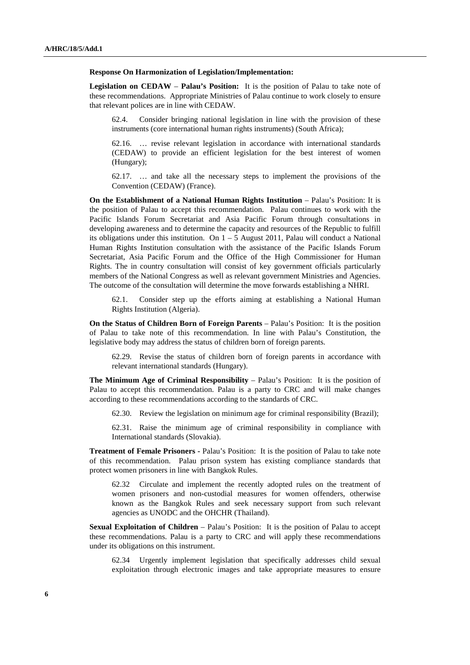#### **Response On Harmonization of Legislation/Implementation:**

**Legislation on CEDAW** – **Palau's Position:** It is the position of Palau to take note of these recommendations. Appropriate Ministries of Palau continue to work closely to ensure that relevant polices are in line with CEDAW.

62.4. Consider bringing national legislation in line with the provision of these instruments (core international human rights instruments) (South Africa);

62.16. … revise relevant legislation in accordance with international standards (CEDAW) to provide an efficient legislation for the best interest of women (Hungary);

62.17. … and take all the necessary steps to implement the provisions of the Convention (CEDAW) (France).

**On the Establishment of a National Human Rights Institution** – Palau's Position: It is the position of Palau to accept this recommendation. Palau continues to work with the Pacific Islands Forum Secretariat and Asia Pacific Forum through consultations in developing awareness and to determine the capacity and resources of the Republic to fulfill its obligations under this institution. On  $1 - 5$  August 2011, Palau will conduct a National Human Rights Institution consultation with the assistance of the Pacific Islands Forum Secretariat, Asia Pacific Forum and the Office of the High Commissioner for Human Rights. The in country consultation will consist of key government officials particularly members of the National Congress as well as relevant government Ministries and Agencies. The outcome of the consultation will determine the move forwards establishing a NHRI.

62.1. Consider step up the efforts aiming at establishing a National Human Rights Institution (Algeria).

**On the Status of Children Born of Foreign Parents** – Palau's Position: It is the position of Palau to take note of this recommendation. In line with Palau's Constitution, the legislative body may address the status of children born of foreign parents.

62.29. Revise the status of children born of foreign parents in accordance with relevant international standards (Hungary).

**The Minimum Age of Criminal Responsibility** – Palau's Position: It is the position of Palau to accept this recommendation. Palau is a party to CRC and will make changes according to these recommendations according to the standards of CRC.

62.30. Review the legislation on minimum age for criminal responsibility (Brazil);

62.31. Raise the minimum age of criminal responsibility in compliance with International standards (Slovakia).

**Treatment of Female Prisoners -** Palau's Position: It is the position of Palau to take note of this recommendation. Palau prison system has existing compliance standards that protect women prisoners in line with Bangkok Rules.

62.32 Circulate and implement the recently adopted rules on the treatment of women prisoners and non-custodial measures for women offenders, otherwise known as the Bangkok Rules and seek necessary support from such relevant agencies as UNODC and the OHCHR (Thailand).

**Sexual Exploitation of Children** – Palau's Position: It is the position of Palau to accept these recommendations. Palau is a party to CRC and will apply these recommendations under its obligations on this instrument.

62.34 Urgently implement legislation that specifically addresses child sexual exploitation through electronic images and take appropriate measures to ensure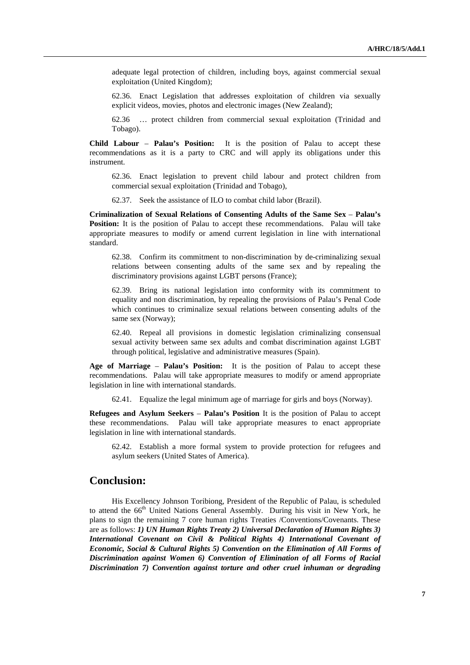adequate legal protection of children, including boys, against commercial sexual exploitation (United Kingdom);

62.36. Enact Legislation that addresses exploitation of children via sexually explicit videos, movies, photos and electronic images (New Zealand);

62.36 … protect children from commercial sexual exploitation (Trinidad and Tobago).

**Child Labour** – **Palau's Position:** It is the position of Palau to accept these recommendations as it is a party to CRC and will apply its obligations under this instrument.

62.36. Enact legislation to prevent child labour and protect children from commercial sexual exploitation (Trinidad and Tobago),

62.37. Seek the assistance of ILO to combat child labor (Brazil).

**Criminalization of Sexual Relations of Consenting Adults of the Same Sex** – **Palau's Position:** It is the position of Palau to accept these recommendations. Palau will take appropriate measures to modify or amend current legislation in line with international standard.

62.38. Confirm its commitment to non-discrimination by de-criminalizing sexual relations between consenting adults of the same sex and by repealing the discriminatory provisions against LGBT persons (France);

62.39. Bring its national legislation into conformity with its commitment to equality and non discrimination, by repealing the provisions of Palau's Penal Code which continues to criminalize sexual relations between consenting adults of the same sex (Norway);

62.40. Repeal all provisions in domestic legislation criminalizing consensual sexual activity between same sex adults and combat discrimination against LGBT through political, legislative and administrative measures (Spain).

**Age of Marriage** – **Palau's Position:** It is the position of Palau to accept these recommendations.Palau will take appropriate measures to modify or amend appropriate legislation in line with international standards.

62.41. Equalize the legal minimum age of marriage for girls and boys (Norway).

**Refugees and Asylum Seekers** – **Palau's Position** It is the position of Palau to accept these recommendations. Palau will take appropriate measures to enact appropriate legislation in line with international standards.

62.42. Establish a more formal system to provide protection for refugees and asylum seekers (United States of America).

# **Conclusion:**

 His Excellency Johnson Toribiong, President of the Republic of Palau, is scheduled to attend the 66<sup>th</sup> United Nations General Assembly. During his visit in New York, he plans to sign the remaining 7 core human rights Treaties /Conventions/Covenants. These are as follows: *1) UN Human Rights Treaty 2) Universal Declaration of Human Rights 3) International Covenant on Civil & Political Rights 4) International Covenant of Economic, Social & Cultural Rights 5) Convention on the Elimination of All Forms of Discrimination against Women 6) Convention of Elimination of all Forms of Racial Discrimination 7) Convention against torture and other cruel inhuman or degrading*